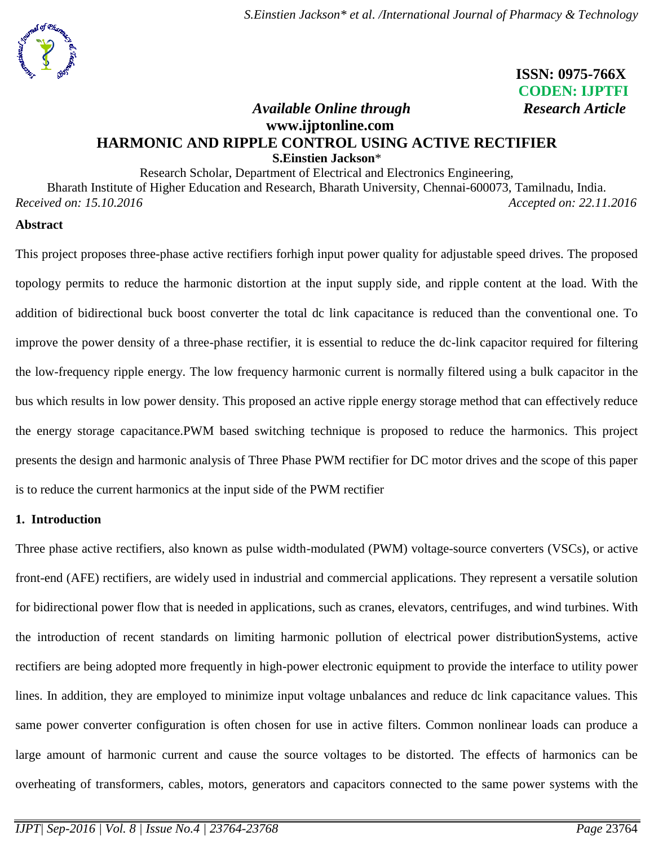

 **ISSN: 0975-766X CODEN: IJPTFI**

# *Available Online through Research Article* **www.ijptonline.com HARMONIC AND RIPPLE CONTROL USING ACTIVE RECTIFIER S.Einstien Jackson**\*

Research Scholar, Department of Electrical and Electronics Engineering, Bharath Institute of Higher Education and Research, Bharath University, Chennai-600073, Tamilnadu, India. *Received on: 15.10.2016 Accepted on: 22.11.2016*

#### **Abstract**

This project proposes three-phase active rectifiers forhigh input power quality for adjustable speed drives. The proposed topology permits to reduce the harmonic distortion at the input supply side, and ripple content at the load. With the addition of bidirectional buck boost converter the total dc link capacitance is reduced than the conventional one. To improve the power density of a three-phase rectifier, it is essential to reduce the dc-link capacitor required for filtering the low-frequency ripple energy. The low frequency harmonic current is normally filtered using a bulk capacitor in the bus which results in low power density. This proposed an active ripple energy storage method that can effectively reduce the energy storage capacitance.PWM based switching technique is proposed to reduce the harmonics. This project presents the design and harmonic analysis of Three Phase PWM rectifier for DC motor drives and the scope of this paper is to reduce the current harmonics at the input side of the PWM rectifier

# **1. Introduction**

Three phase active rectifiers, also known as pulse width-modulated (PWM) voltage-source converters (VSCs), or active front-end (AFE) rectifiers, are widely used in industrial and commercial applications. They represent a versatile solution for bidirectional power flow that is needed in applications, such as cranes, elevators, centrifuges, and wind turbines. With the introduction of recent standards on limiting harmonic pollution of electrical power distributionSystems, active rectifiers are being adopted more frequently in high-power electronic equipment to provide the interface to utility power lines. In addition, they are employed to minimize input voltage unbalances and reduce dc link capacitance values. This same power converter configuration is often chosen for use in active filters. Common nonlinear loads can produce a large amount of harmonic current and cause the source voltages to be distorted. The effects of harmonics can be overheating of transformers, cables, motors, generators and capacitors connected to the same power systems with the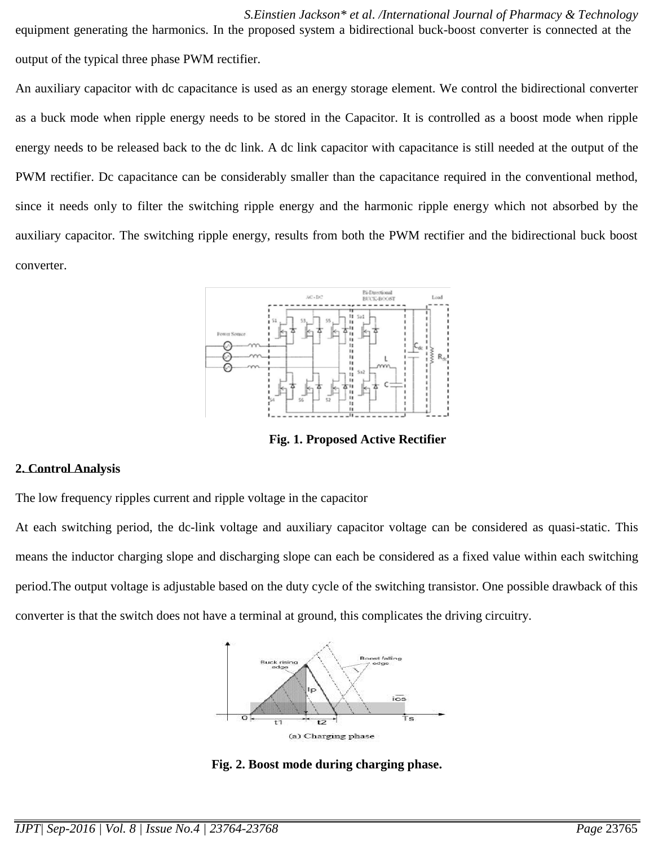*S.Einstien Jackson\* et al. /International Journal of Pharmacy & Technology* equipment generating the harmonics. In the proposed system a bidirectional buck-boost converter is connected at the output of the typical three phase PWM rectifier.

An auxiliary capacitor with dc capacitance is used as an energy storage element. We control the bidirectional converter as a buck mode when ripple energy needs to be stored in the Capacitor. It is controlled as a boost mode when ripple energy needs to be released back to the dc link. A dc link capacitor with capacitance is still needed at the output of the PWM rectifier. Dc capacitance can be considerably smaller than the capacitance required in the conventional method, since it needs only to filter the switching ripple energy and the harmonic ripple energy which not absorbed by the auxiliary capacitor. The switching ripple energy, results from both the PWM rectifier and the bidirectional buck boost converter.



**Fig. 1. Proposed Active Rectifier**

#### **2. Control Analysis**

The low frequency ripples current and ripple voltage in the capacitor

At each switching period, the dc-link voltage and auxiliary capacitor voltage can be considered as quasi-static. This means the inductor charging slope and discharging slope can each be considered as a fixed value within each switching period.The output voltage is adjustable based on the duty cycle of the switching transistor. One possible drawback of this converter is that the switch does not have a terminal at ground, this complicates the driving circuitry.



**Fig. 2. Boost mode during charging phase.**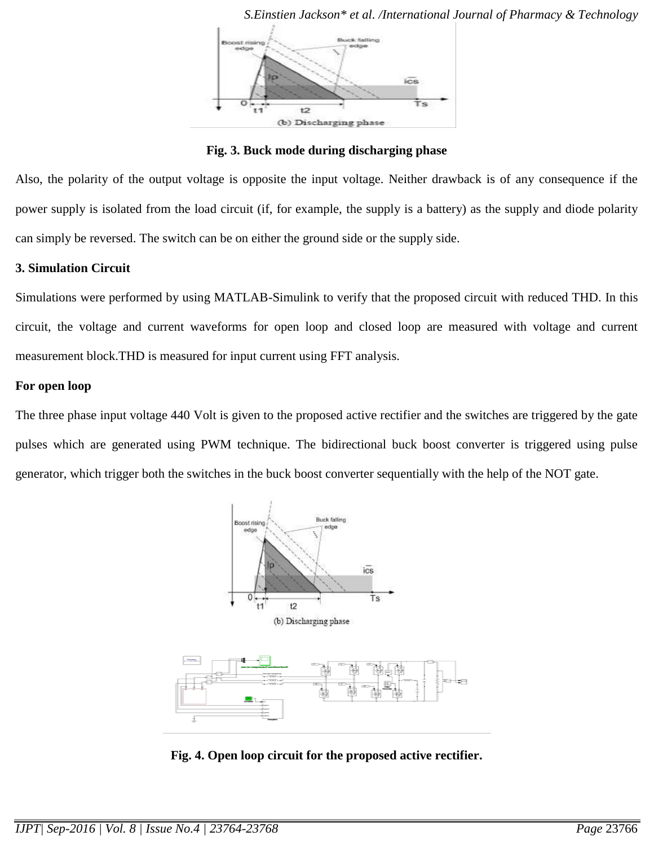

*S.Einstien Jackson\* et al. /International Journal of Pharmacy & Technology*

**Fig. 3. Buck mode during discharging phase**

Also, the polarity of the output voltage is opposite the input voltage. Neither drawback is of any consequence if the power supply is isolated from the load circuit (if, for example, the supply is a battery) as the supply and diode polarity can simply be reversed. The switch can be on either the ground side or the supply side.

# **3. Simulation Circuit**

Simulations were performed by using MATLAB-Simulink to verify that the proposed circuit with reduced THD. In this circuit, the voltage and current waveforms for open loop and closed loop are measured with voltage and current measurement block.THD is measured for input current using FFT analysis.

# **For open loop**

The three phase input voltage 440 Volt is given to the proposed active rectifier and the switches are triggered by the gate pulses which are generated using PWM technique. The bidirectional buck boost converter is triggered using pulse generator, which trigger both the switches in the buck boost converter sequentially with the help of the NOT gate.



**Fig. 4. Open loop circuit for the proposed active rectifier.**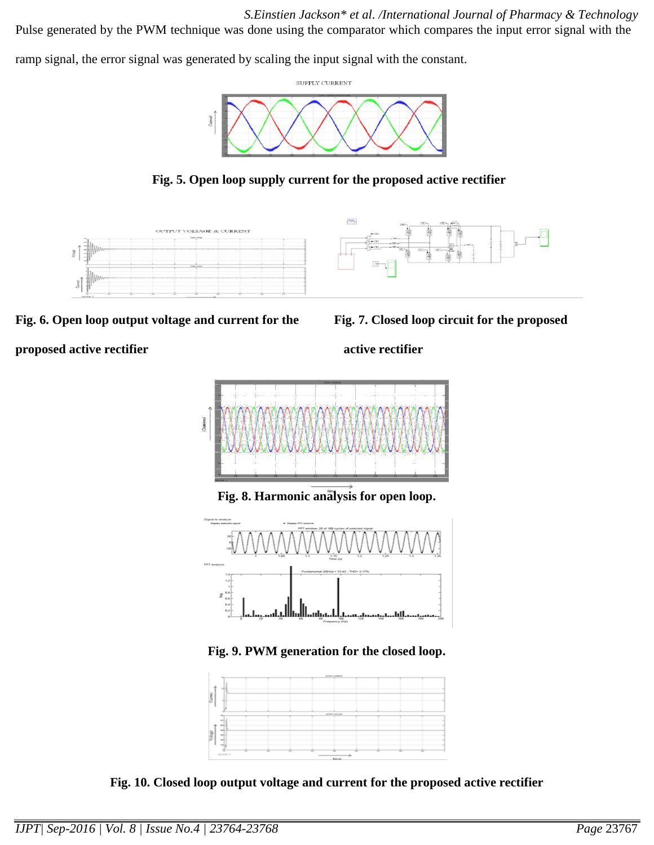*S.Einstien Jackson\* et al. /International Journal of Pharmacy & Technology* Pulse generated by the PWM technique was done using the comparator which compares the input error signal with the

ramp signal, the error signal was generated by scaling the input signal with the constant.









Fig. 6. Open loop output voltage and current for the Fig. 7. Closed loop circuit for the proposed

# **proposed active rectifier** active rectifier



**Fig. 8. Harmonic analysis for open loop.**



**Fig. 9. PWM generation for the closed loop.**



**Fig. 10. Closed loop output voltage and current for the proposed active rectifier**